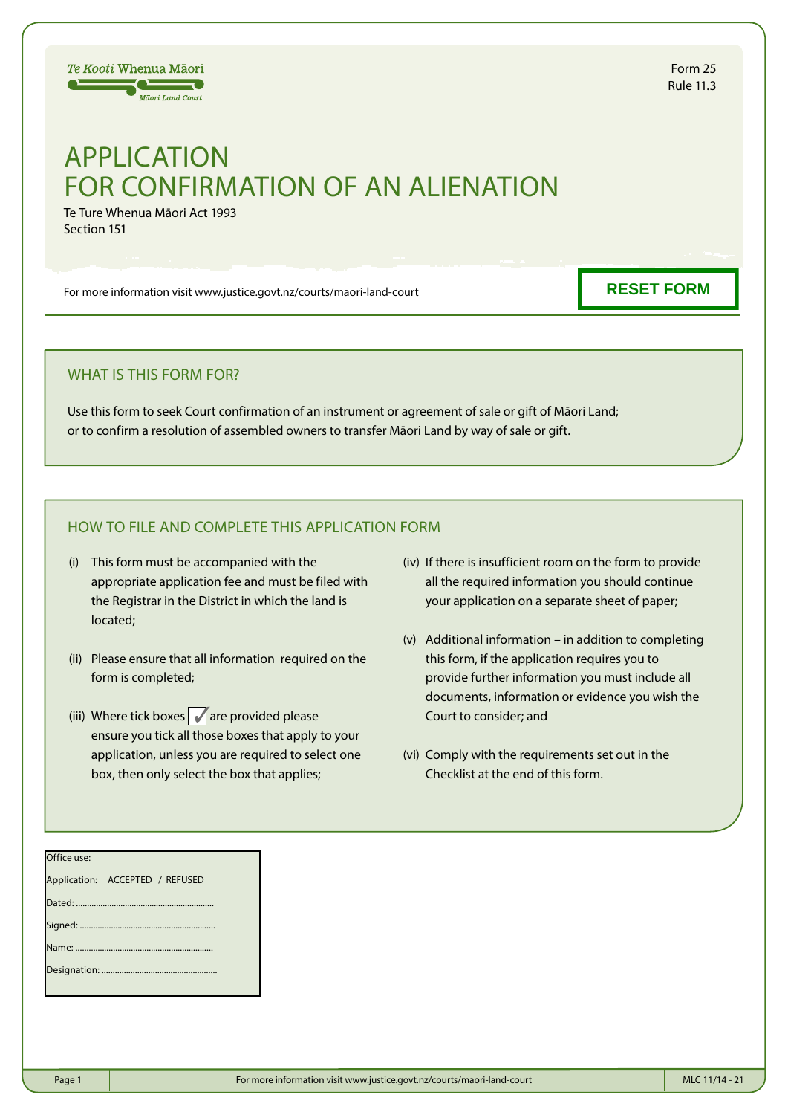# $\equiv$ **Mäori Land Court**

Te Kooti Whenua Māori

# APPLICATION FOR CONFIRMATION OF AN ALIENATION

Te Ture Whenua Māori Act 1993 Section 151

For more information visit www.justice.govt.nz/courts/maori-land-court

**RESET FORM**

## WHAT IS THIS FORM FOR?

Use this form to seek Court confirmation of an instrument or agreement of sale or gift of Māori Land; or to confirm a resolution of assembled owners to transfer Māori Land by way of sale or gift.

# HOW TO FILE AND COMPLETE THIS APPLICATION FORM

- (i) This form must be accompanied with the appropriate application fee and must be filed with the Registrar in the District in which the land is located;
- (ii) Please ensure that all information required on the form is completed;
- (iii) Where tick boxes  $\sqrt{ }$  are provided please ensure you tick all those boxes that apply to your application, unless you are required to select one box, then only select the box that applies;
- (iv) If there is insufficient room on the form to provide all the required information you should continue your application on a separate sheet of paper;
- (v) Additional information in addition to completing this form, if the application requires you to provide further information you must include all documents, information or evidence you wish the Court to consider; and
- (vi) Comply with the requirements set out in the Checklist at the end of this form.

| Office use:                     |  |
|---------------------------------|--|
| Application: ACCEPTED / REFUSED |  |
|                                 |  |
|                                 |  |
|                                 |  |
|                                 |  |
|                                 |  |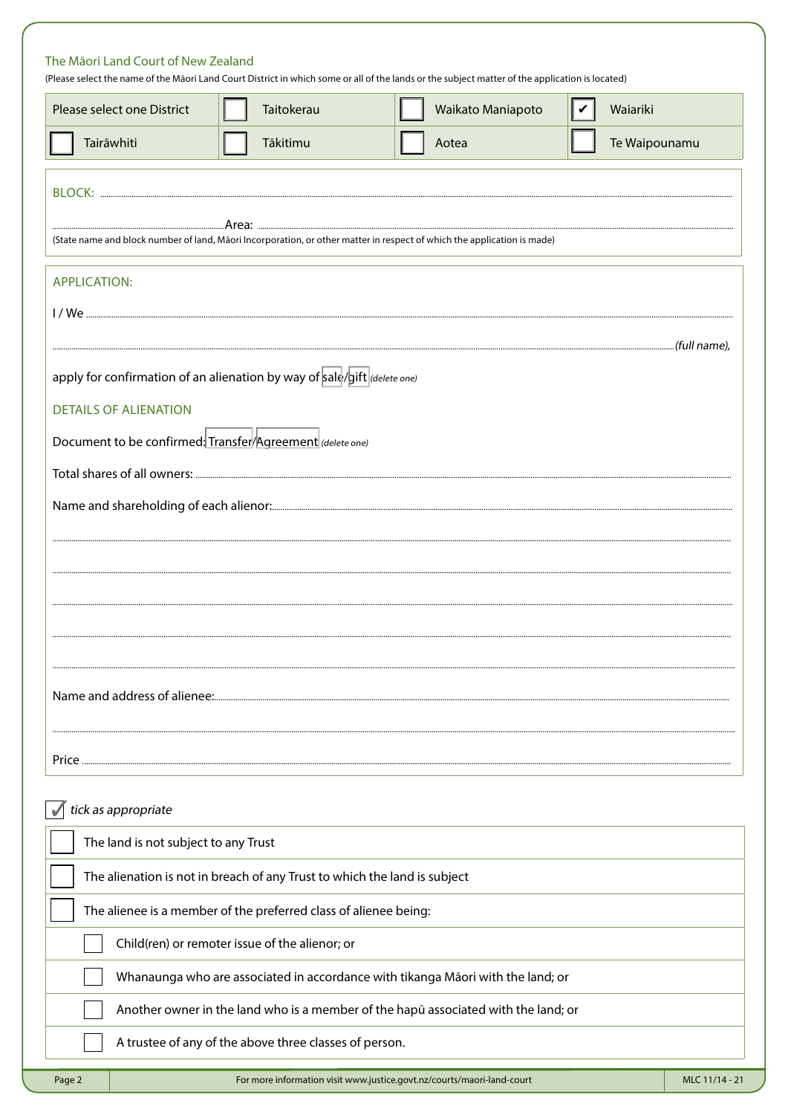| Please select one District                                                   | Taitokerau                                                                | Waikato Maniapoto                                                                                                       | Waiariki<br>∣✓ |
|------------------------------------------------------------------------------|---------------------------------------------------------------------------|-------------------------------------------------------------------------------------------------------------------------|----------------|
| Tairāwhiti                                                                   | Tākitimu                                                                  | Aotea                                                                                                                   | Te Waipounamu  |
|                                                                              |                                                                           |                                                                                                                         |                |
|                                                                              |                                                                           | (State name and block number of land, Māori Incorporation, or other matter in respect of which the application is made) |                |
|                                                                              |                                                                           |                                                                                                                         |                |
| <b>APPLICATION:</b>                                                          |                                                                           |                                                                                                                         |                |
|                                                                              |                                                                           |                                                                                                                         |                |
| apply for confirmation of an alienation by way of sale/gift $ $ (delete one) |                                                                           |                                                                                                                         |                |
| <b>DETAILS OF ALIENATION</b>                                                 |                                                                           |                                                                                                                         |                |
| Document to be confirmed: Transfer Agreement (delete one)                    |                                                                           |                                                                                                                         |                |
|                                                                              |                                                                           |                                                                                                                         |                |
|                                                                              |                                                                           |                                                                                                                         |                |
|                                                                              |                                                                           |                                                                                                                         |                |
|                                                                              |                                                                           |                                                                                                                         |                |
|                                                                              |                                                                           |                                                                                                                         |                |
|                                                                              |                                                                           |                                                                                                                         |                |
|                                                                              |                                                                           |                                                                                                                         |                |
|                                                                              |                                                                           |                                                                                                                         |                |
|                                                                              |                                                                           |                                                                                                                         |                |
|                                                                              |                                                                           |                                                                                                                         |                |
|                                                                              |                                                                           |                                                                                                                         |                |
|                                                                              |                                                                           |                                                                                                                         |                |
| tick as appropriate                                                          |                                                                           |                                                                                                                         |                |
| The land is not subject to any Trust                                         |                                                                           |                                                                                                                         |                |
|                                                                              | The alienation is not in breach of any Trust to which the land is subject |                                                                                                                         |                |
|                                                                              | The alienee is a member of the preferred class of alienee being:          |                                                                                                                         |                |

| A trustee of any of the above three classes of person. |  |  |
|--------------------------------------------------------|--|--|
|                                                        |  |  |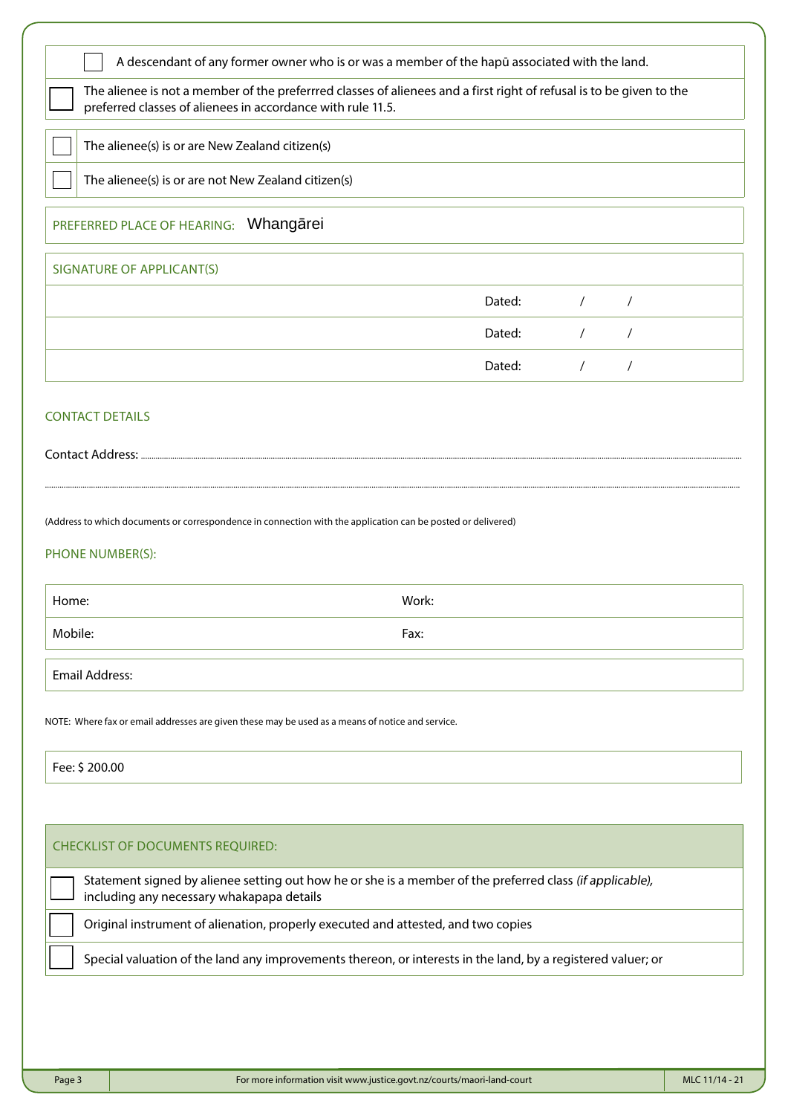| The alienee is not a member of the preferrred classes of alienees and a first right of refusal is to be given to the<br>preferred classes of alienees in accordance with rule 11.5.                                                  |       |        |            |            |
|--------------------------------------------------------------------------------------------------------------------------------------------------------------------------------------------------------------------------------------|-------|--------|------------|------------|
| The alienee(s) is or are New Zealand citizen(s)                                                                                                                                                                                      |       |        |            |            |
| The alienee(s) is or are not New Zealand citizen(s)                                                                                                                                                                                  |       |        |            |            |
| PREFERRED PLACE OF HEARING: Whangarei                                                                                                                                                                                                |       |        |            |            |
| SIGNATURE OF APPLICANT(S)                                                                                                                                                                                                            |       |        |            |            |
|                                                                                                                                                                                                                                      |       | Dated: | $\sqrt{2}$ | $\sqrt{2}$ |
|                                                                                                                                                                                                                                      |       | Dated: | $\sqrt{2}$ | $\prime$   |
|                                                                                                                                                                                                                                      |       | Dated: | $\sqrt{2}$ | $\prime$   |
| <b>CONTACT DETAILS</b>                                                                                                                                                                                                               |       |        |            |            |
|                                                                                                                                                                                                                                      |       |        |            |            |
|                                                                                                                                                                                                                                      |       |        |            |            |
|                                                                                                                                                                                                                                      |       |        |            |            |
|                                                                                                                                                                                                                                      | Work: |        |            |            |
|                                                                                                                                                                                                                                      | Fax:  |        |            |            |
| Home:<br>Mobile:<br><b>Email Address:</b>                                                                                                                                                                                            |       |        |            |            |
|                                                                                                                                                                                                                                      |       |        |            |            |
| Fee: \$200.00                                                                                                                                                                                                                        |       |        |            |            |
| (Address to which documents or correspondence in connection with the application can be posted or delivered)<br>PHONE NUMBER(S):<br>NOTE: Where fax or email addresses are given these may be used as a means of notice and service. |       |        |            |            |
| <b>CHECKLIST OF DOCUMENTS REQUIRED:</b>                                                                                                                                                                                              |       |        |            |            |
| Statement signed by alienee setting out how he or she is a member of the preferred class (if applicable),<br>including any necessary whakapapa details                                                                               |       |        |            |            |
| Original instrument of alienation, properly executed and attested, and two copies                                                                                                                                                    |       |        |            |            |